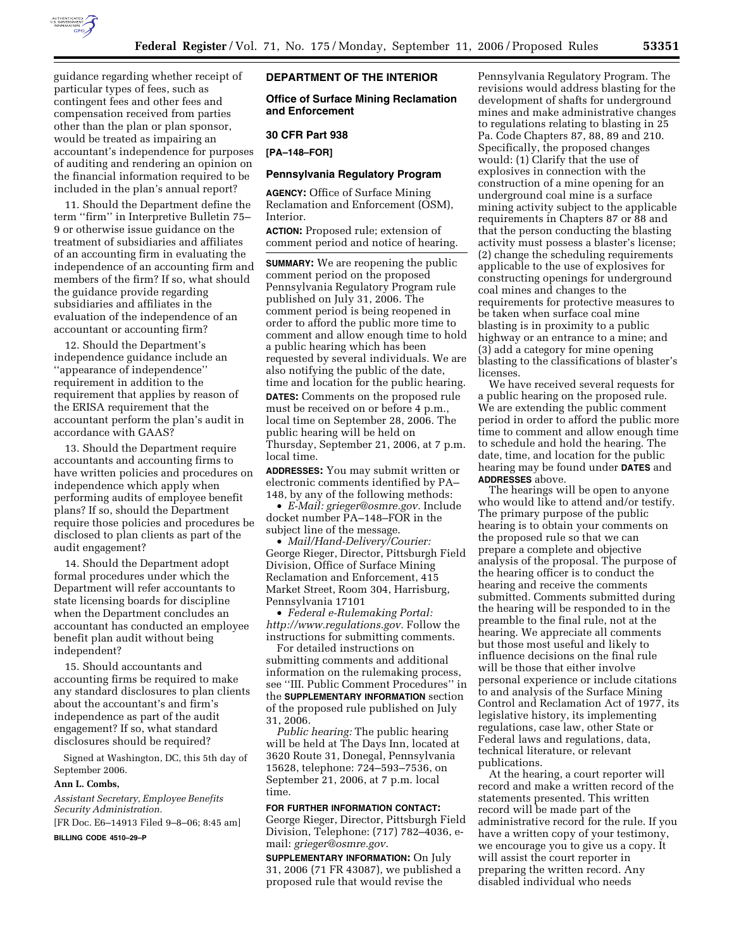

guidance regarding whether receipt of particular types of fees, such as contingent fees and other fees and compensation received from parties other than the plan or plan sponsor, would be treated as impairing an accountant's independence for purposes of auditing and rendering an opinion on the financial information required to be included in the plan's annual report?

11. Should the Department define the term ''firm'' in Interpretive Bulletin 75– 9 or otherwise issue guidance on the treatment of subsidiaries and affiliates of an accounting firm in evaluating the independence of an accounting firm and members of the firm? If so, what should the guidance provide regarding subsidiaries and affiliates in the evaluation of the independence of an accountant or accounting firm?

12. Should the Department's independence guidance include an ''appearance of independence'' requirement in addition to the requirement that applies by reason of the ERISA requirement that the accountant perform the plan's audit in accordance with GAAS?

13. Should the Department require accountants and accounting firms to have written policies and procedures on independence which apply when performing audits of employee benefit plans? If so, should the Department require those policies and procedures be disclosed to plan clients as part of the audit engagement?

14. Should the Department adopt formal procedures under which the Department will refer accountants to state licensing boards for discipline when the Department concludes an accountant has conducted an employee benefit plan audit without being independent?

15. Should accountants and accounting firms be required to make any standard disclosures to plan clients about the accountant's and firm's independence as part of the audit engagement? If so, what standard disclosures should be required?

Signed at Washington, DC, this 5th day of September 2006.

### **Ann L. Combs,**

*Assistant Secretary, Employee Benefits Security Administration.*  [FR Doc. E6–14913 Filed 9–8–06; 8:45 am]

**BILLING CODE 4510–29–P** 

## **DEPARTMENT OF THE INTERIOR**

**Office of Surface Mining Reclamation and Enforcement** 

#### **30 CFR Part 938**

**[PA–148–FOR]** 

## **Pennsylvania Regulatory Program**

**AGENCY:** Office of Surface Mining Reclamation and Enforcement (OSM), Interior.

**ACTION:** Proposed rule; extension of comment period and notice of hearing.

**SUMMARY:** We are reopening the public comment period on the proposed Pennsylvania Regulatory Program rule published on July 31, 2006. The comment period is being reopened in order to afford the public more time to comment and allow enough time to hold a public hearing which has been requested by several individuals. We are also notifying the public of the date, time and location for the public hearing. **DATES:** Comments on the proposed rule must be received on or before 4 p.m., local time on September 28, 2006. The public hearing will be held on Thursday, September 21, 2006, at 7 p.m. local time.

**ADDRESSES:** You may submit written or electronic comments identified by PA– 148, by any of the following methods:

• *E-Mail: grieger@osmre.gov.* Include docket number PA–148–FOR in the subject line of the message.

• *Mail/Hand-Delivery/Courier:*  George Rieger, Director, Pittsburgh Field Division, Office of Surface Mining Reclamation and Enforcement, 415 Market Street, Room 304, Harrisburg, Pennsylvania 17101

• *Federal e-Rulemaking Portal: http://www.regulations.gov.* Follow the instructions for submitting comments.

For detailed instructions on submitting comments and additional information on the rulemaking process, see ''III. Public Comment Procedures'' in the **SUPPLEMENTARY INFORMATION** section of the proposed rule published on July 31, 2006.

*Public hearing:* The public hearing will be held at The Days Inn, located at 3620 Route 31, Donegal, Pennsylvania 15628, telephone: 724–593–7536, on September 21, 2006, at 7 p.m. local time.

**FOR FURTHER INFORMATION CONTACT:**  George Rieger, Director, Pittsburgh Field Division, Telephone: (717) 782–4036, email: *grieger@osmre.gov.* 

**SUPPLEMENTARY INFORMATION:** On July 31, 2006 (71 FR 43087), we published a proposed rule that would revise the

Pennsylvania Regulatory Program. The revisions would address blasting for the development of shafts for underground mines and make administrative changes to regulations relating to blasting in 25 Pa. Code Chapters 87, 88, 89 and 210. Specifically, the proposed changes would: (1) Clarify that the use of explosives in connection with the construction of a mine opening for an underground coal mine is a surface mining activity subject to the applicable requirements in Chapters 87 or 88 and that the person conducting the blasting activity must possess a blaster's license; (2) change the scheduling requirements applicable to the use of explosives for constructing openings for underground coal mines and changes to the requirements for protective measures to be taken when surface coal mine blasting is in proximity to a public highway or an entrance to a mine; and (3) add a category for mine opening blasting to the classifications of blaster's licenses.

We have received several requests for a public hearing on the proposed rule. We are extending the public comment period in order to afford the public more time to comment and allow enough time to schedule and hold the hearing. The date, time, and location for the public hearing may be found under **DATES** and **ADDRESSES** above.

The hearings will be open to anyone who would like to attend and/or testify. The primary purpose of the public hearing is to obtain your comments on the proposed rule so that we can prepare a complete and objective analysis of the proposal. The purpose of the hearing officer is to conduct the hearing and receive the comments submitted. Comments submitted during the hearing will be responded to in the preamble to the final rule, not at the hearing. We appreciate all comments but those most useful and likely to influence decisions on the final rule will be those that either involve personal experience or include citations to and analysis of the Surface Mining Control and Reclamation Act of 1977, its legislative history, its implementing regulations, case law, other State or Federal laws and regulations, data, technical literature, or relevant publications.

At the hearing, a court reporter will record and make a written record of the statements presented. This written record will be made part of the administrative record for the rule. If you have a written copy of your testimony, we encourage you to give us a copy. It will assist the court reporter in preparing the written record. Any disabled individual who needs